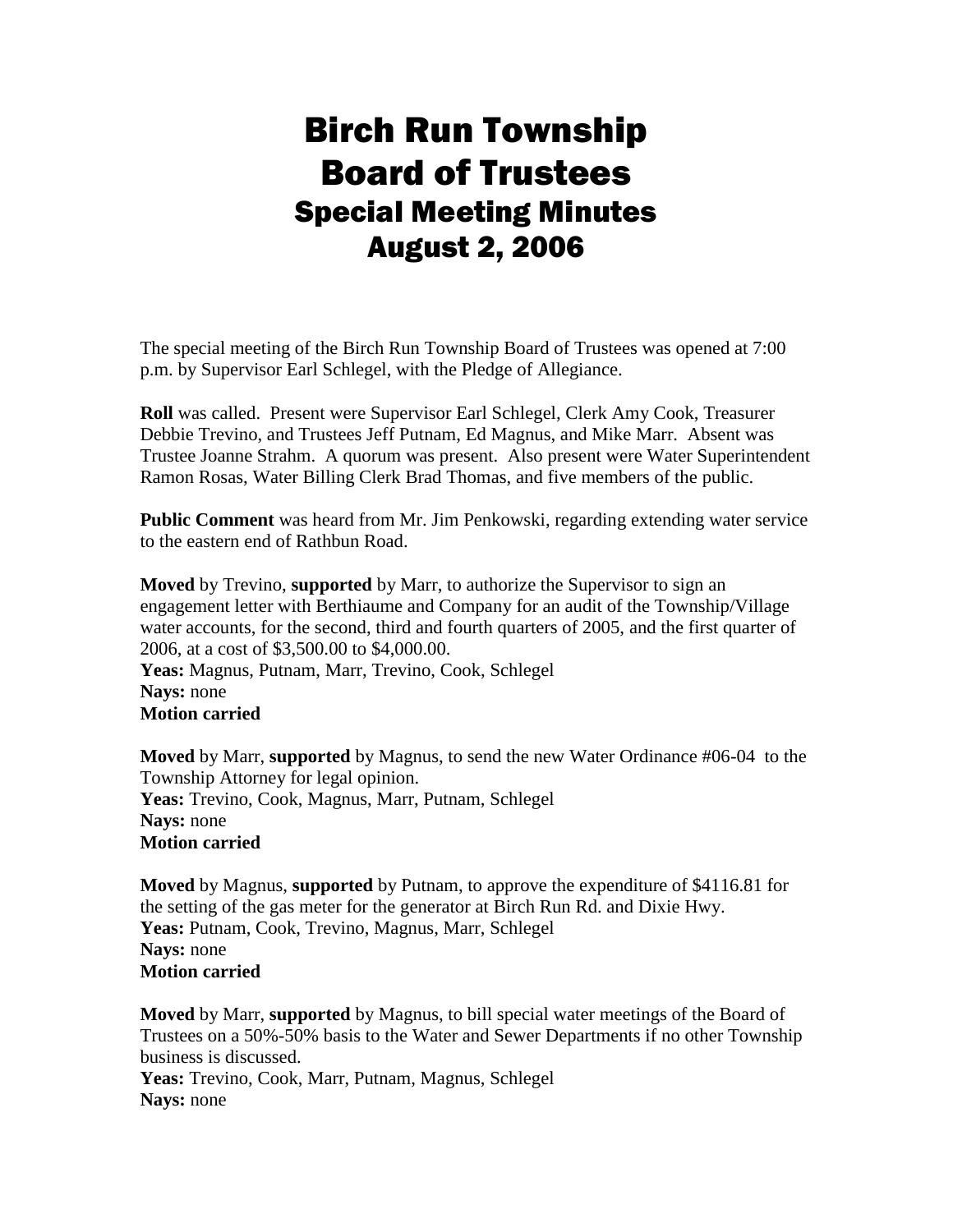## Birch Run Township Board of Trustees Special Meeting Minutes August 2, 2006

The special meeting of the Birch Run Township Board of Trustees was opened at 7:00 p.m. by Supervisor Earl Schlegel, with the Pledge of Allegiance.

**Roll** was called. Present were Supervisor Earl Schlegel, Clerk Amy Cook, Treasurer Debbie Trevino, and Trustees Jeff Putnam, Ed Magnus, and Mike Marr. Absent was Trustee Joanne Strahm. A quorum was present. Also present were Water Superintendent Ramon Rosas, Water Billing Clerk Brad Thomas, and five members of the public.

**Public Comment** was heard from Mr. Jim Penkowski, regarding extending water service to the eastern end of Rathbun Road.

**Moved** by Trevino, **supported** by Marr, to authorize the Supervisor to sign an engagement letter with Berthiaume and Company for an audit of the Township/Village water accounts, for the second, third and fourth quarters of 2005, and the first quarter of 2006, at a cost of \$3,500.00 to \$4,000.00. **Yeas:** Magnus, Putnam, Marr, Trevino, Cook, Schlegel **Nays:** none **Motion carried** 

**Moved** by Marr, **supported** by Magnus, to send the new Water Ordinance #06-04 to the Township Attorney for legal opinion. **Yeas:** Trevino, Cook, Magnus, Marr, Putnam, Schlegel **Nays:** none **Motion carried**

**Moved** by Magnus, **supported** by Putnam, to approve the expenditure of \$4116.81 for the setting of the gas meter for the generator at Birch Run Rd. and Dixie Hwy. Yeas: Putnam, Cook, Trevino, Magnus, Marr, Schlegel **Nays:** none **Motion carried**

**Moved** by Marr, **supported** by Magnus, to bill special water meetings of the Board of Trustees on a 50%-50% basis to the Water and Sewer Departments if no other Township business is discussed.

**Yeas:** Trevino, Cook, Marr, Putnam, Magnus, Schlegel **Nays:** none